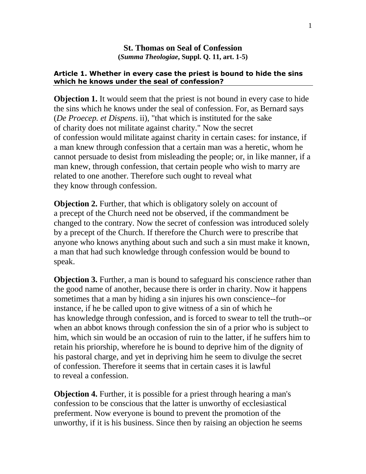#### **St. Thomas on Seal of Confession (***Summa Theologiae***, Suppl. Q. 11, art. 1-5)**

#### **Article 1. Whether in every case the priest is bound to hide the sins which he knows under the seal of confession?**

**Objection 1.** It would seem that the [priest](http://www.newadvent.org/cathen/12406a.htm) is not bound in every case to hide the [sins](http://www.newadvent.org/cathen/14004b.htm) which he [knows](http://www.newadvent.org/cathen/08673a.htm) under the seal of confession. For, as [Bernard](http://www.newadvent.org/cathen/02498d.htm) says (*De Proecep. et Dispens*. ii), "that which is instituted for the sake of [charity](http://www.newadvent.org/cathen/09397a.htm) does not militate against [charity.](http://www.newadvent.org/cathen/09397a.htm)" Now the secret of confession would militate against [charity](http://www.newadvent.org/cathen/09397a.htm) in certain cases: for instance, if a man [knew](http://www.newadvent.org/cathen/08673a.htm) through confession that a certain [man](http://www.newadvent.org/cathen/09580c.htm) was a [heretic,](http://www.newadvent.org/cathen/07256b.htm) whom he cannot persuade to desist from misleading the people; or, in like manner, if a man [knew,](http://www.newadvent.org/cathen/08673a.htm) through confession, that certain people who wish to marry are related to one another. Therefore such ought to reveal what they [know](http://www.newadvent.org/cathen/08673a.htm) through confession.

**Objection 2.** Further, that which is obligatory solely on [account](http://www.newadvent.org/summa/5011.htm) of a precept of the [Church](http://www.newadvent.org/cathen/03744a.htm) need not be observed, if the commandment be changed to the contrary. Now the secret of confession was introduced solely by a precept of the [Church.](http://www.newadvent.org/cathen/03744a.htm) If therefore the [Church](http://www.newadvent.org/cathen/03744a.htm) were to prescribe that anyone who [knows](http://www.newadvent.org/cathen/08673a.htm) anything about such and such a [sin](http://www.newadvent.org/cathen/14004b.htm) must make it [known,](http://www.newadvent.org/cathen/08673a.htm) a man that had such [knowledge](http://www.newadvent.org/cathen/08673a.htm) through confession would be bound to speak.

**Objection 3.** Further, a man is bound to safeguard his [conscience](http://www.newadvent.org/cathen/04268a.htm) rather than the [good](http://www.newadvent.org/cathen/06636b.htm) name of another, because there is order in [charity.](http://www.newadvent.org/cathen/09397a.htm) Now it happens sometimes that a man by hiding a [sin](http://www.newadvent.org/cathen/14004b.htm) injures his own [conscience-](http://www.newadvent.org/cathen/04268a.htm)-for instance, if he be called upon to give witness of a [sin](http://www.newadvent.org/cathen/14004b.htm) of which he has [knowledge](http://www.newadvent.org/cathen/08673a.htm) through confession, and is forced to swear to tell the [truth-](http://www.newadvent.org/cathen/15073a.htm)-or when an abbot [knows](http://www.newadvent.org/cathen/08673a.htm) through confession the [sin](http://www.newadvent.org/cathen/14004b.htm) of a prior who is subject to him, which [sin](http://www.newadvent.org/cathen/14004b.htm) would be an occasion of ruin to the latter, if he suffers him to retain his priorship, wherefore he is bound to deprive him of the dignity of his pastoral charge, and yet in depriving him he seem to divulge the secret of confession. Therefore it seems that in certain cases it is lawful to reveal a confession.

**Objection 4.** Further, it is possible for a [priest](http://www.newadvent.org/cathen/12406a.htm) through hearing a man's confession to be conscious that the latter is unworthy of ecclesiastical preferment. Now everyone is bound to prevent the promotion of the unworthy, if it is his [business.](http://www.newadvent.org/summa/5011.htm) Since then by raising an objection he seems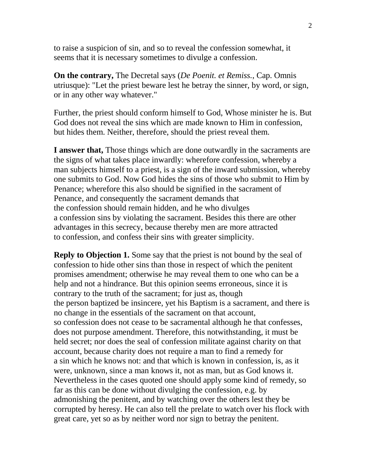to raise a suspicion of [sin,](http://www.newadvent.org/cathen/14004b.htm) and so to reveal the confession somewhat, it seems that it is [necessary](http://www.newadvent.org/cathen/10733a.htm) sometimes to divulge a confession.

**On the contrary,** The [Decretal](http://www.newadvent.org/cathen/04670b.htm) says (*De Poenit. et Remiss.*, Cap. Omnis utriusque): "Let the [priest](http://www.newadvent.org/cathen/12406a.htm) beware lest he betray the sinner, by word, or sign, or in any other way whatever."

Further, the [priest](http://www.newadvent.org/cathen/12406a.htm) should conform himself to [God,](http://www.newadvent.org/cathen/06608a.htm) Whose minister he is. But [God](http://www.newadvent.org/cathen/06608a.htm) does not reveal the [sins](http://www.newadvent.org/cathen/14004b.htm) which are made [known](http://www.newadvent.org/cathen/08673a.htm) to Him in confession, but hides them. Neither, therefore, should the [priest](http://www.newadvent.org/cathen/12406a.htm) reveal them.

**I answer that,** Those things which are done outwardly in the [sacraments](http://www.newadvent.org/cathen/13295a.htm) are the signs of what takes place inwardly: wherefore confession, whereby a man subjects himself to a [priest,](http://www.newadvent.org/cathen/12406a.htm) is a sign of the inward submission, whereby one [submits](http://www.newadvent.org/summa/5011.htm) to [God.](http://www.newadvent.org/cathen/06608a.htm) Now [God](http://www.newadvent.org/cathen/06608a.htm) hides the [sins](http://www.newadvent.org/cathen/14004b.htm) of those who submit to Him by Penance; wherefore this also should be signified in the [sacrament of](http://www.newadvent.org/cathen/11618c.htm)  [Penance,](http://www.newadvent.org/cathen/11618c.htm) and consequently the sacrament demands that the confession should remain hidden, and he who divulges a confession [sins](http://www.newadvent.org/cathen/14004b.htm) by violating the [sacrament.](http://www.newadvent.org/cathen/13295a.htm) Besides this there are other advantages in this secrecy, because thereby [men](http://www.newadvent.org/summa/5011.htm) are more attracted to confession, and confess their [sins](http://www.newadvent.org/cathen/14004b.htm) with greater simplicity.

**Reply to Objection 1.** Some say that the [priest](http://www.newadvent.org/cathen/12406a.htm) is not bound by the seal of confession to hide other [sins](http://www.newadvent.org/cathen/14004b.htm) than those in respect of which the penitent promises amendment; otherwise he may reveal them to one who can be a help and not a hindrance. But this opinion seems [erroneous,](http://www.newadvent.org/cathen/05525a.htm) since it is contrary to the [truth](http://www.newadvent.org/cathen/15073a.htm) of the sacrament; for just as, though the [person](http://www.newadvent.org/cathen/11726a.htm) [baptized](http://www.newadvent.org/cathen/02258b.htm) be insincere, yet his [Baptism](http://www.newadvent.org/cathen/02258b.htm) is a [sacrament,](http://www.newadvent.org/cathen/13295a.htm) and there is no change in the essentials of the sacrament on that account, so confession does not cease to be sacramental although he that confesses, does not purpose amendment. Therefore, this notwithstanding, it must be held secret; nor does the seal of confession militate against [charity](http://www.newadvent.org/cathen/09397a.htm) on that account, because [charity](http://www.newadvent.org/cathen/09397a.htm) does not require a man to find a remedy for a [sin](http://www.newadvent.org/cathen/14004b.htm) which he [knows](http://www.newadvent.org/cathen/08673a.htm) not: and that which is [known](http://www.newadvent.org/cathen/08673a.htm) in confession, is, as it were, unknown, since a man [knows](http://www.newadvent.org/cathen/08673a.htm) it, not as [man,](http://www.newadvent.org/cathen/09580c.htm) but as [God](http://www.newadvent.org/cathen/06608a.htm) [knows](http://www.newadvent.org/cathen/08673a.htm) it. Nevertheless in the cases quoted one should apply some kind of remedy, so far as this can be done without divulging the confession, e.g. by admonishing the penitent, and by watching over the others lest they be corrupted by [heresy.](http://www.newadvent.org/cathen/07256b.htm) He can also tell the prelate to watch over his flock with great care, yet so as by neither word nor sign to betray the penitent.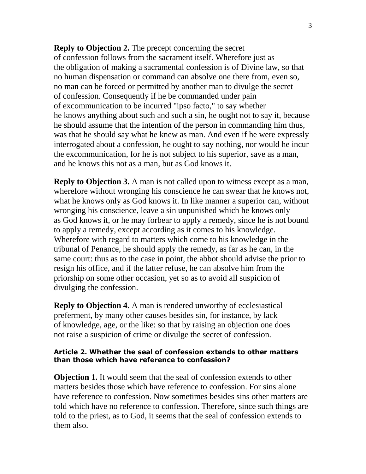**Reply to Objection 2.** The precept concerning the secret of confession follows from the sacrament itself. Wherefore just as the [obligation](http://www.newadvent.org/cathen/11189a.htm) of making a sacramental confession is of [Divine law,](http://www.newadvent.org/cathen/09071a.htm) so that no [human](http://www.newadvent.org/cathen/09580c.htm) dispensation or command can [absolve](http://www.newadvent.org/cathen/01061a.htm) one there from, even so, no [man](http://www.newadvent.org/cathen/09580c.htm) can be forced or permitted by another [man](http://www.newadvent.org/cathen/09580c.htm) to divulge the secret of confession. Consequently if he be commanded under pain of [excommunication](http://www.newadvent.org/cathen/05678a.htm) to be incurred "ipso facto," to say whether he [knows](http://www.newadvent.org/cathen/08673a.htm) anything about such and such a [sin,](http://www.newadvent.org/cathen/14004b.htm) he ought not to say it, because he should assume that the [intention](http://www.newadvent.org/cathen/08069b.htm) of the [person](http://www.newadvent.org/cathen/11726a.htm) in commanding him thus, was that he should say what he [knew](http://www.newadvent.org/cathen/08673a.htm) as [man.](http://www.newadvent.org/cathen/09580c.htm) And even if he were expressly interrogated about a confession, he ought to say nothing, nor would he incur the [excommunication,](http://www.newadvent.org/cathen/05678a.htm) for he is not subject to his superior, save as a man, and he [knows](http://www.newadvent.org/cathen/08673a.htm) this not as a man, but as [God](http://www.newadvent.org/cathen/06608a.htm) [knows](http://www.newadvent.org/cathen/08673a.htm) it.

**Reply to Objection 3.** A [man](http://www.newadvent.org/cathen/09580c.htm) is not called upon to witness except as a man, wherefore without wronging his [conscience](http://www.newadvent.org/cathen/04268a.htm) he can swear that he [knows](http://www.newadvent.org/cathen/08673a.htm) not, what he [knows](http://www.newadvent.org/cathen/08673a.htm) only as [God](http://www.newadvent.org/cathen/06608a.htm) [knows](http://www.newadvent.org/cathen/08673a.htm) it. In like manner a superior can, without wronging his [conscience,](http://www.newadvent.org/cathen/04268a.htm) leave a [sin](http://www.newadvent.org/cathen/14004b.htm) unpunished which he [knows](http://www.newadvent.org/cathen/08673a.htm) only as [God](http://www.newadvent.org/cathen/06608a.htm) [knows](http://www.newadvent.org/cathen/08673a.htm) it, or he may forbear to apply a remedy, since he is not bound to apply a remedy, except according as it comes to his [knowledge.](http://www.newadvent.org/cathen/08673a.htm) Wherefore with regard to matters which come to his [knowledge](http://www.newadvent.org/cathen/08673a.htm) in the tribunal of Penance, he should apply the remedy, as far as he can, in the same court: thus as to the case in point, the abbot should advise the prior to resign his office, and if the latter refuse, he can [absolve](http://www.newadvent.org/cathen/01061a.htm) him from the priorship on some other occasion, yet so as to avoid all suspicion of divulging the confession.

**Reply to Objection 4.** A [man](http://www.newadvent.org/cathen/09580c.htm) is rendered unworthy of ecclesiastical preferment, by many other [causes](http://www.newadvent.org/cathen/03459a.htm) besides [sin,](http://www.newadvent.org/cathen/14004b.htm) for instance, by lack of [knowledge,](http://www.newadvent.org/cathen/08673a.htm) age, or the like: so that by raising an objection one does not raise a suspicion of crime or divulge the secret of confession.

### **Article 2. Whether the seal of confession extends to other matters than those which have reference to confession?**

**Objection 1.** It would seem that the seal of confession extends to other matters besides those which have reference to confession. For [sins](http://www.newadvent.org/cathen/14004b.htm) alone have reference to confession. Now sometimes besides [sins](http://www.newadvent.org/cathen/14004b.htm) other matters are told which have no reference to confession. Therefore, since such things are told to the [priest,](http://www.newadvent.org/cathen/12406a.htm) as to [God,](http://www.newadvent.org/cathen/06608a.htm) it seems that the seal of confession extends to them also.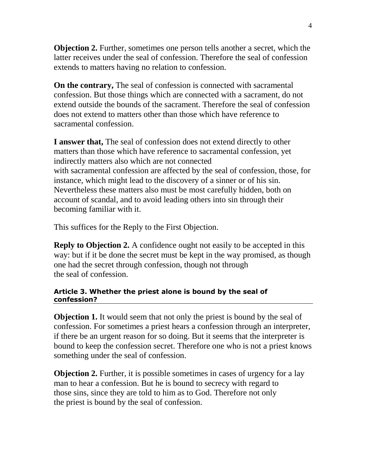**Objection 2.** Further, sometimes one [person](http://www.newadvent.org/cathen/11726a.htm) tells another a secret, which the latter receives under the seal of confession. Therefore the seal of confession extends to matters having no relation to confession.

**On the contrary,** The seal of confession is connected with sacramental confession. But those things which are connected with a [sacrament,](http://www.newadvent.org/cathen/13295a.htm) do not extend outside the bounds of the [sacrament.](http://www.newadvent.org/cathen/13295a.htm) Therefore the seal of confession does not extend to matters other than those which have reference to sacramental confession.

**I answer that,** The seal of confession does not extend directly to other matters than those which have reference to sacramental confession, yet indirectly matters also which are not connected with sacramental confession are affected by the seal of confession, those, for instance, which might lead to the discovery of a sinner or of his [sin.](http://www.newadvent.org/cathen/14004b.htm) Nevertheless these matters also must be most carefully hidden, both on account of [scandal,](http://www.newadvent.org/cathen/13506d.htm) and to avoid leading others into [sin](http://www.newadvent.org/cathen/14004b.htm) through their becoming familiar with it.

This suffices for the Reply to the First Objection.

**Reply to Objection 2.** A confidence ought not easily to be accepted in this way: but if it be done the secret must be kept in the way promised, as though one had the secret through confession, though not through the seal of confession.

### **Article 3. Whether the priest alone is bound by the seal of confession?**

**Objection 1.** It would seem that not only the [priest](http://www.newadvent.org/cathen/12406a.htm) is bound by the seal of confession. For sometimes a [priest](http://www.newadvent.org/cathen/12406a.htm) hears a confession through an interpreter, if there be an urgent reason for so doing. But it seems that the interpreter is bound to keep the confession secret. Therefore one who is not a [priest](http://www.newadvent.org/cathen/12406a.htm) [knows](http://www.newadvent.org/cathen/08673a.htm) something under the seal of confession.

**Objection 2.** Further, it is possible sometimes in cases of urgency for a lay [man](http://www.newadvent.org/cathen/08748a.htm) to hear a confession. But he is bound to secrecy with regard to those [sins,](http://www.newadvent.org/cathen/14004b.htm) since they are told to him as to [God.](http://www.newadvent.org/cathen/06608a.htm) Therefore not only the [priest](http://www.newadvent.org/cathen/12406a.htm) is bound by the seal of confession.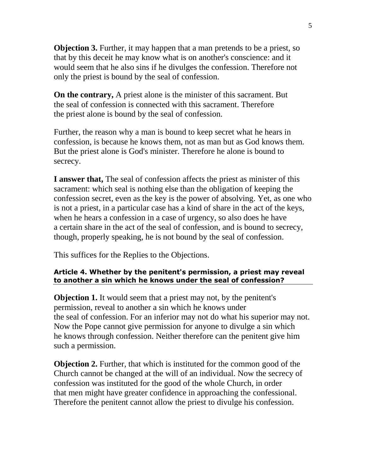**Objection 3.** Further, it may happen that a man pretends to be a [priest,](http://www.newadvent.org/cathen/12406a.htm) so that by this deceit he may [know](http://www.newadvent.org/cathen/08673a.htm) what is on another's [conscience:](http://www.newadvent.org/cathen/04268a.htm) and it would seem that he also [sins](http://www.newadvent.org/cathen/14004b.htm) if he divulges the confession. Therefore not only the [priest](http://www.newadvent.org/cathen/12406a.htm) is bound by the seal of confession.

**On the contrary,** A [priest](http://www.newadvent.org/cathen/12406a.htm) alone is the minister of this [sacrament.](http://www.newadvent.org/cathen/13295a.htm) But the seal of confession is connected with this [sacrament.](http://www.newadvent.org/cathen/13295a.htm) Therefore the [priest](http://www.newadvent.org/cathen/12406a.htm) alone is bound by the seal of confession.

Further, the reason why a man is bound to keep secret what he hears in confession, is because he [knows](http://www.newadvent.org/cathen/08673a.htm) them, not as [man](http://www.newadvent.org/cathen/09580c.htm) but as [God](http://www.newadvent.org/cathen/06608a.htm) [knows](http://www.newadvent.org/cathen/08673a.htm) them. But the [priest](http://www.newadvent.org/cathen/12406a.htm) alone is [God's](http://www.newadvent.org/cathen/06608a.htm) minister. Therefore he alone is bound to secrecy.

**I answer that,** The seal of confession affects the [priest](http://www.newadvent.org/cathen/12406a.htm) as minister of this [sacrament:](http://www.newadvent.org/cathen/13295a.htm) which seal is nothing else than the [obligation](http://www.newadvent.org/cathen/11189a.htm) of keeping the confession secret, even as the key is the power of absolving. Yet, as one who is not a [priest,](http://www.newadvent.org/cathen/12406a.htm) in a particular case has a kind of share in the act of the keys, when he hears a confession in a case of urgency, so also does he have a certain share in the act of the seal of confession, and is bound to secrecy, though, properly speaking, he is not bound by the seal of confession.

This suffices for the Replies to the Objections.

# **Article 4. Whether by the penitent's permission, a priest may reveal to another a sin which he knows under the seal of confession?**

**Objection 1.** It would seem that a [priest](http://www.newadvent.org/cathen/12406a.htm) may not, by the penitent's permission, reveal to another a [sin](http://www.newadvent.org/cathen/14004b.htm) which he [knows](http://www.newadvent.org/cathen/08673a.htm) under the seal of confession. For an inferior may not do what his superior may not. Now the Pope cannot give permission for anyone to divulge a [sin](http://www.newadvent.org/cathen/14004b.htm) which he [knows](http://www.newadvent.org/cathen/08673a.htm) through confession. Neither therefore can the penitent give him such a permission.

**Objection 2.** Further, that which is instituted for the common [good](http://www.newadvent.org/cathen/06636b.htm) of the [Church](http://www.newadvent.org/cathen/03744a.htm) cannot be changed at the [will](http://www.newadvent.org/cathen/15624a.htm) of an [individual.](http://www.newadvent.org/cathen/07762a.htm) Now the secrecy of confession was instituted for the [good](http://www.newadvent.org/cathen/06636b.htm) of the whole [Church,](http://www.newadvent.org/cathen/03744a.htm) in order that men might have greater confidence in approaching the confessional. Therefore the penitent cannot allow the [priest](http://www.newadvent.org/cathen/12406a.htm) to divulge his confession.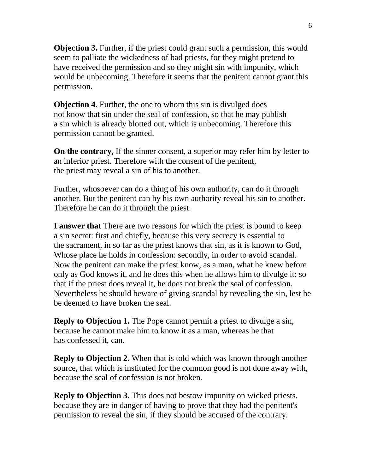**Objection 3.** Further, if the [priest](http://www.newadvent.org/cathen/12406a.htm) could grant such a permission, this would seem to palliate the [wickedness](http://www.newadvent.org/cathen/05649a.htm) of bad [priests,](http://www.newadvent.org/cathen/12406a.htm) for they might pretend to have received the permission and so they might [sin](http://www.newadvent.org/cathen/14004b.htm) with impunity, which would be unbecoming. Therefore it seems that the penitent cannot grant this permission.

**Objection 4.** Further, the one to whom this [sin](http://www.newadvent.org/cathen/14004b.htm) is divulged does not [know](http://www.newadvent.org/cathen/08673a.htm) that [sin](http://www.newadvent.org/cathen/14004b.htm) under the seal of confession, so that he may publish a [sin](http://www.newadvent.org/cathen/14004b.htm) which is already blotted out, which is unbecoming. Therefore this permission cannot be granted.

**On the contrary,** If the sinner consent, a superior may refer him by letter to an inferior [priest.](http://www.newadvent.org/cathen/12406a.htm) Therefore with the consent of the penitent, the [priest](http://www.newadvent.org/cathen/12406a.htm) may reveal a [sin](http://www.newadvent.org/cathen/14004b.htm) of his to another.

Further, whosoever can do a thing of his own authority, can do it through another. But the penitent can by his own authority reveal his [sin](http://www.newadvent.org/cathen/14004b.htm) to another. Therefore he can do it through the [priest.](http://www.newadvent.org/cathen/12406a.htm)

**I answer that** There are two reasons for which the [priest](http://www.newadvent.org/cathen/12406a.htm) is bound to keep a [sin](http://www.newadvent.org/cathen/14004b.htm) secret: first and chiefly, because this very secrecy is [essential](http://www.newadvent.org/cathen/05543b.htm) to the [sacrament,](http://www.newadvent.org/cathen/13295a.htm) in so far as the [priest](http://www.newadvent.org/cathen/12406a.htm) [knows](http://www.newadvent.org/cathen/08673a.htm) that [sin,](http://www.newadvent.org/cathen/14004b.htm) as it is [known](http://www.newadvent.org/cathen/08673a.htm) to [God,](http://www.newadvent.org/cathen/06608a.htm) Whose place he holds in confession: secondly, in order to avoid [scandal.](http://www.newadvent.org/cathen/13506d.htm) Now the penitent can make the [priest](http://www.newadvent.org/cathen/12406a.htm) [know,](http://www.newadvent.org/cathen/08673a.htm) as a man, what he [knew](http://www.newadvent.org/cathen/08673a.htm) before only as [God](http://www.newadvent.org/cathen/06608a.htm) [knows](http://www.newadvent.org/cathen/08673a.htm) it, and he does this when he allows him to divulge it: so that if the [priest](http://www.newadvent.org/cathen/12406a.htm) does reveal it, he does not break the seal of confession. Nevertheless he should beware of giving [scandal](http://www.newadvent.org/cathen/13506d.htm) by revealing the [sin,](http://www.newadvent.org/cathen/14004b.htm) lest he be deemed to have broken the seal.

**Reply to Objection 1.** The Pope cannot permit a [priest](http://www.newadvent.org/cathen/12406a.htm) to divulge a [sin,](http://www.newadvent.org/cathen/14004b.htm) because he cannot make him to [know](http://www.newadvent.org/cathen/08673a.htm) it as a man, whereas he that has confessed it, can.

**Reply to Objection 2.** When that is told which was [known](http://www.newadvent.org/cathen/08673a.htm) through another source, that which is instituted for the common [good](http://www.newadvent.org/cathen/06636b.htm) is not done away with, because the seal of confession is not broken.

**Reply to Objection 3.** This does not bestow impunity on [wicked](http://www.newadvent.org/cathen/05649a.htm) [priests,](http://www.newadvent.org/cathen/12406a.htm) because they are in danger of having to [prove](http://www.newadvent.org/cathen/12454c.htm) that they had the penitent's permission to reveal the [sin,](http://www.newadvent.org/cathen/14004b.htm) if they should be accused of the contrary.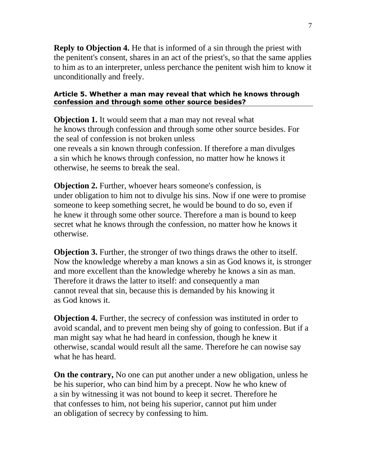**Reply to Objection 4.** He that is informed of a [sin](http://www.newadvent.org/cathen/14004b.htm) through the [priest](http://www.newadvent.org/cathen/12406a.htm) with the penitent's consent, shares in an act of the [priest's,](http://www.newadvent.org/cathen/12406a.htm) so that the same applies to him as to an interpreter, unless perchance the penitent wish him to [know](http://www.newadvent.org/cathen/08673a.htm) it unconditionally and freely.

# **Article 5. Whether a man may reveal that which he knows through confession and through some other source besides?**

**Objection 1.** It would seem that a man may not reveal what he [knows](http://www.newadvent.org/cathen/08673a.htm) through confession and through some other source besides. For the seal of confession is not broken unless one reveals a [sin](http://www.newadvent.org/cathen/14004b.htm) [known](http://www.newadvent.org/cathen/08673a.htm) through confession. If therefore a man divulges a [sin](http://www.newadvent.org/cathen/14004b.htm) which he [knows](http://www.newadvent.org/cathen/08673a.htm) through confession, no matter how he [knows](http://www.newadvent.org/cathen/08673a.htm) it otherwise, he seems to break the seal.

**Objection 2.** Further, whoever hears someone's confession, is under [obligation](http://www.newadvent.org/cathen/11189a.htm) to him not to divulge his [sins.](http://www.newadvent.org/cathen/14004b.htm) Now if one were to promise someone to keep something secret, he would be bound to do so, even if he [knew](http://www.newadvent.org/cathen/08673a.htm) it through some other source. Therefore a man is bound to keep secret what he [knows](http://www.newadvent.org/cathen/08673a.htm) through the confession, no matter how he [knows](http://www.newadvent.org/cathen/08673a.htm) it otherwise.

**Objection 3.** Further, the stronger of two things draws the other to itself. Now the [knowledge](http://www.newadvent.org/cathen/08673a.htm) whereby a man [knows](http://www.newadvent.org/cathen/08673a.htm) a [sin](http://www.newadvent.org/cathen/14004b.htm) as [God](http://www.newadvent.org/cathen/06608a.htm) [knows](http://www.newadvent.org/cathen/08673a.htm) it, is stronger and more excellent than the [knowledge](http://www.newadvent.org/cathen/08673a.htm) whereby he [knows](http://www.newadvent.org/cathen/08673a.htm) a [sin](http://www.newadvent.org/cathen/14004b.htm) as [man.](http://www.newadvent.org/cathen/09580c.htm) Therefore it draws the latter to itself: and consequently a man cannot reveal that [sin,](http://www.newadvent.org/cathen/14004b.htm) because this is demanded by his [knowing](http://www.newadvent.org/cathen/08673a.htm) it as [God](http://www.newadvent.org/cathen/06608a.htm) [knows](http://www.newadvent.org/cathen/08673a.htm) it.

**Objection 4.** Further, the secrecy of confession was instituted in order to avoid [scandal,](http://www.newadvent.org/cathen/13506d.htm) and to prevent men being shy of going to confession. But if a man might say what he had heard in confession, though he [knew](http://www.newadvent.org/cathen/08673a.htm) it otherwise, [scandal](http://www.newadvent.org/cathen/13506d.htm) would result all the same. Therefore he can nowise say what he has heard.

**On the contrary,** No one can put another under a new [obligation,](http://www.newadvent.org/cathen/11189a.htm) unless he be his superior, who can bind him by a precept. Now he who [knew](http://www.newadvent.org/cathen/08673a.htm) of a [sin](http://www.newadvent.org/cathen/14004b.htm) by witnessing it was not bound to keep it secret. Therefore he that confesses to him, not being his superior, cannot put him under an [obligation](http://www.newadvent.org/cathen/11189a.htm) of secrecy by confessing to him.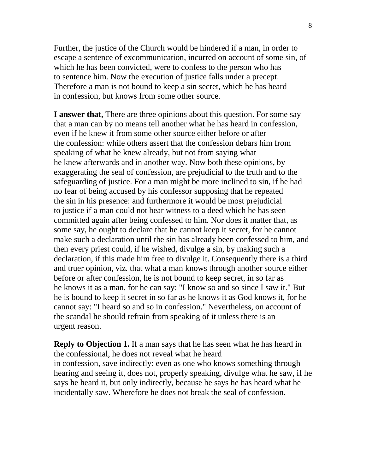Further, the [justice](http://www.newadvent.org/cathen/08571c.htm) of the [Church](http://www.newadvent.org/cathen/03744a.htm) would be hindered if a man, in order to escape a sentence of [excommunication,](http://www.newadvent.org/cathen/05678a.htm) incurred on account of some [sin,](http://www.newadvent.org/cathen/14004b.htm) of which he has been convicted, were to confess to the [person](http://www.newadvent.org/cathen/11726a.htm) who has to sentence him. Now the execution of [justice](http://www.newadvent.org/cathen/08571c.htm) falls under a precept. Therefore a man is not bound to keep a [sin](http://www.newadvent.org/cathen/14004b.htm) secret, which he has heard in confession, but [knows](http://www.newadvent.org/cathen/08673a.htm) from some other source.

**I answer that,** There are three opinions about this question. For some say that a man can by no means tell another what he has heard in confession, even if he [knew](http://www.newadvent.org/cathen/08673a.htm) it from some other source either before or after the confession: while others assert that the confession debars him from speaking of what he [knew](http://www.newadvent.org/cathen/08673a.htm) already, but not from saying what he [knew](http://www.newadvent.org/cathen/08673a.htm) afterwards and in another way. Now both these opinions, by exaggerating the seal of confession, are prejudicial to the [truth](http://www.newadvent.org/cathen/15073a.htm) and to the safeguarding of [justice.](http://www.newadvent.org/cathen/08571c.htm) For a man might be more inclined to [sin,](http://www.newadvent.org/cathen/14004b.htm) if he had no fear of being accused by his confessor supposing that he repeated the [sin](http://www.newadvent.org/cathen/14004b.htm) in his presence: and furthermore it would be most prejudicial to [justice](http://www.newadvent.org/cathen/08571c.htm) if a man could not bear witness to a [deed](http://www.newadvent.org/cathen/01115a.htm) which he has seen committed again after being confessed to him. Nor does it matter that, as some say, he ought to declare that he cannot keep it secret, for he cannot make such a declaration until the [sin](http://www.newadvent.org/cathen/14004b.htm) has already been confessed to him, and then every [priest](http://www.newadvent.org/cathen/12406a.htm) could, if he wished, divulge a [sin,](http://www.newadvent.org/cathen/14004b.htm) by making such a declaration, if this made him free to divulge it. Consequently there is a third and truer opinion, viz. that what a man [knows](http://www.newadvent.org/cathen/08673a.htm) through another source either before or after confession, he is not bound to keep secret, in so far as he [knows](http://www.newadvent.org/cathen/08673a.htm) it as a man, for he can say: "I [know](http://www.newadvent.org/cathen/08673a.htm) so and so since I saw it." But he is bound to keep it secret in so far as he [knows](http://www.newadvent.org/cathen/08673a.htm) it as [God](http://www.newadvent.org/cathen/06608a.htm) [knows](http://www.newadvent.org/cathen/08673a.htm) it, for he cannot say: "I heard so and so in confession." Nevertheless, on account of the [scandal](http://www.newadvent.org/cathen/13506d.htm) he should refrain from speaking of it unless there is an urgent reason.

**Reply to Objection 1.** If a man says that he has seen what he has heard in the confessional, he does not reveal what he heard in confession, save indirectly: even as one who [knows](http://www.newadvent.org/cathen/08673a.htm) something through hearing and seeing it, does not, properly speaking, divulge what he saw, if he says he heard it, but only indirectly, because he says he has heard what he incidentally saw. Wherefore he does not break the seal of confession.